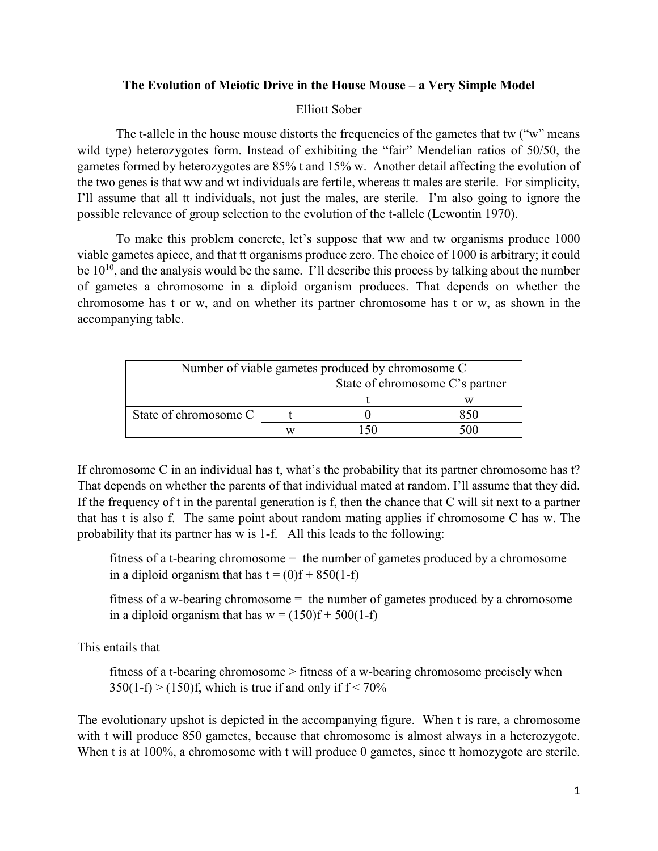## **The Evolution of Meiotic Drive in the House Mouse – a Very Simple Model**

## Elliott Sober

The t-allele in the house mouse distorts the frequencies of the gametes that tw ("w" means") wild type) heterozygotes form. Instead of exhibiting the "fair" Mendelian ratios of 50/50, the gametes formed by heterozygotes are 85% t and 15% w. Another detail affecting the evolution of the two genes is that ww and wt individuals are fertile, whereas tt males are sterile. For simplicity, I'll assume that all tt individuals, not just the males, are sterile. I'm also going to ignore the possible relevance of group selection to the evolution of the t-allele (Lewontin 1970).

To make this problem concrete, let's suppose that ww and tw organisms produce 1000 viable gametes apiece, and that tt organisms produce zero. The choice of 1000 is arbitrary; it could be  $10^{10}$ , and the analysis would be the same. I'll describe this process by talking about the number of gametes a chromosome in a diploid organism produces. That depends on whether the chromosome has t or w, and on whether its partner chromosome has t or w, as shown in the accompanying table.

| Number of viable gametes produced by chromosome C |  |                                 |  |
|---------------------------------------------------|--|---------------------------------|--|
|                                                   |  | State of chromosome C's partner |  |
|                                                   |  |                                 |  |
| State of chromosome C                             |  |                                 |  |
|                                                   |  |                                 |  |

If chromosome C in an individual has t, what's the probability that its partner chromosome has t? That depends on whether the parents of that individual mated at random. I'll assume that they did. If the frequency of t in the parental generation is f, then the chance that C will sit next to a partner that has t is also f. The same point about random mating applies if chromosome C has w. The probability that its partner has w is 1-f. All this leads to the following:

fitness of a t-bearing chromosome  $=$  the number of gametes produced by a chromosome in a diploid organism that has  $t = (0)f + 850(1-f)$ 

 fitness of a w-bearing chromosome = the number of gametes produced by a chromosome in a diploid organism that has  $w = (150)f + 500(1-f)$ 

This entails that

 fitness of a t-bearing chromosome > fitness of a w-bearing chromosome precisely when  $350(1-f)$  >  $(150)f$ , which is true if and only if  $f < 70\%$ 

The evolutionary upshot is depicted in the accompanying figure. When t is rare, a chromosome with t will produce 850 gametes, because that chromosome is almost always in a heterozygote. When t is at 100%, a chromosome with t will produce 0 gametes, since tt homozygote are sterile.